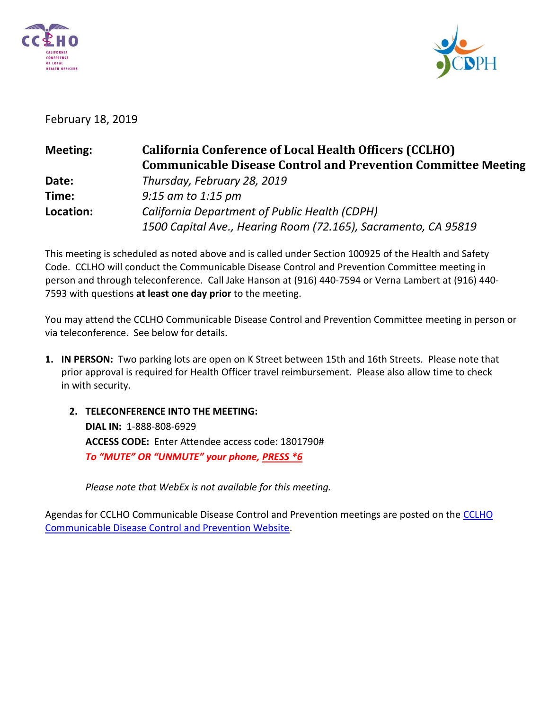



# February 18, 2019

| <b>Meeting:</b> | <b>California Conference of Local Health Officers (CCLHO)</b>        |
|-----------------|----------------------------------------------------------------------|
|                 | <b>Communicable Disease Control and Prevention Committee Meeting</b> |
| Date:           | Thursday, February 28, 2019                                          |
| Time:           | $9:15$ am to 1:15 pm                                                 |
| Location:       | California Department of Public Health (CDPH)                        |
|                 | 1500 Capital Ave., Hearing Room (72.165), Sacramento, CA 95819       |

This meeting is scheduled as noted above and is called under Section 100925 of the Health and Safety Code. CCLHO will conduct the Communicable Disease Control and Prevention Committee meeting in person and through teleconference. Call Jake Hanson at (916) 440-7594 or Verna Lambert at (916) 440- 7593 with questions **at least one day prior** to the meeting.

You may attend the CCLHO Communicable Disease Control and Prevention Committee meeting in person or via teleconference. See below for details.

- **1. IN PERSON:** Two parking lots are open on K Street between 15th and 16th Streets. Please note that prior approval is required for Health Officer travel reimbursement. Please also allow time to check in with security.
	- **2. TELECONFERENCE INTO THE MEETING: DIAL IN:** 1-888-808-6929 **ACCESS CODE:** Enter Attendee access code: 1801790# *To "MUTE" OR "UNMUTE" your phone, PRESS \*6*

*Please note that WebEx is not available for this meeting.*

Agendas for [CCLHO](https://www.cdph.ca.gov/Programs/CCLHO/Pages/CommunicableDiseaseControlAndPrevention.aspx) Communicable Disease Control and Prevention meetings are posted on the CCLHO [Communicable Disease Control and Prevention Website.](https://www.cdph.ca.gov/Programs/CCLHO/Pages/CommunicableDiseaseControlAndPrevention.aspx)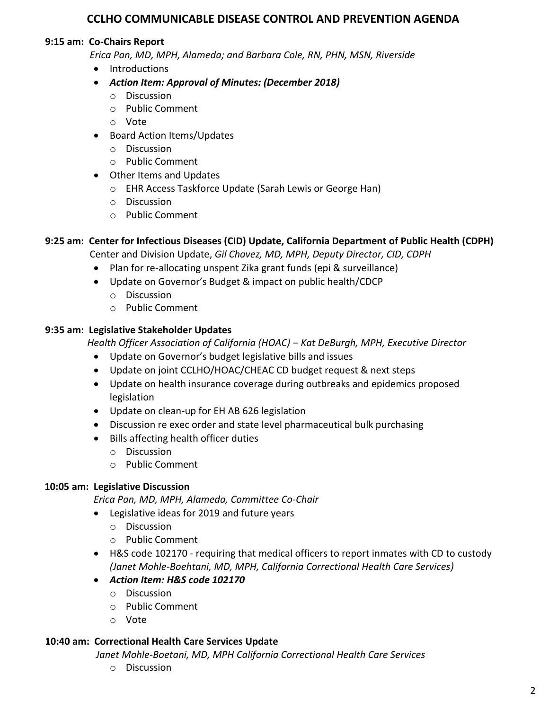# **CCLHO COMMUNICABLE DISEASE CONTROL AND PREVENTION AGENDA**

### **9:15 am: Co-Chairs Report**

 *Erica Pan, MD, MPH, Alameda; and Barbara Cole, RN, PHN, MSN, Riverside*

- Introductions
- *Action Item: Approval of Minutes: (December 2018)*
	- o Discussion
	- o Public Comment
	- o Vote
- Board Action Items/Updates
	- o Discussion
	- o Public Comment
- Other Items and Updates
	- o EHR Access Taskforce Update (Sarah Lewis or George Han)
	- o Discussion
	- o Public Comment

# **9:25 am: Center for Infectious Diseases (CID) Update, California Department of Public Health (CDPH)**

Center and Division Update, *Gil Chavez, MD, MPH, Deputy Director, CID, CDPH*

- Plan for re-allocating unspent Zika grant funds (epi & surveillance)
- Update on Governor's Budget & impact on public health/CDCP
	- o Discussion
	- o Public Comment

# **9:35 am: Legislative Stakeholder Updates**

 *Health Officer Association of California (HOAC) – Kat DeBurgh, MPH, Executive Director*

- Update on Governor's budget legislative bills and issues
- Update on joint CCLHO/HOAC/CHEAC CD budget request & next steps
- Update on health insurance coverage during outbreaks and epidemics proposed legislation
- Update on clean-up for EH AB 626 legislation
- Discussion re exec order and state level pharmaceutical bulk purchasing
- Bills affecting health officer duties
	- o Discussion
	- o Public Comment

## **10:05 am: Legislative Discussion**

*Erica Pan, MD, MPH, Alameda, Committee Co-Chair*

- Legislative ideas for 2019 and future years
	- o Discussion
	- o Public Comment
- H&S code 102170 requiring that medical officers to report inmates with CD to custody *(Janet Mohle-Boehtani, MD, MPH, California Correctional Health Care Services)*
- *Action Item: H&S code 102170*
	- o Discussion
	- o Public Comment
	- o Vote

## **10:40 am: Correctional Health Care Services Update**

*Janet Mohle-Boetani, MD, MPH California Correctional Health Care Services*

o Discussion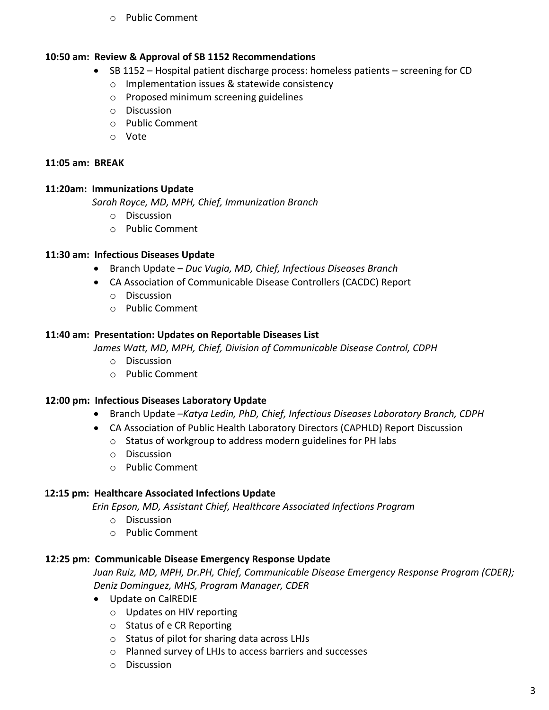o Public Comment

#### **10:50 am: Review & Approval of SB 1152 Recommendations**

- SB 1152 Hospital patient discharge process: homeless patients screening for CD
	- o Implementation issues & statewide consistency
	- o Proposed minimum screening guidelines
	- o Discussion
	- o Public Comment
	- o Vote

## **11:05 am: BREAK**

# **11:20am: Immunizations Update**

 *Sarah Royce, MD, MPH, Chief, Immunization Branch*

- o Discussion
- o Public Comment

# **11:30 am: Infectious Diseases Update**

- Branch Update *Duc Vugia, MD, Chief, Infectious Diseases Branch*
- CA Association of Communicable Disease Controllers (CACDC) Report
	- o Discussion
	- o Public Comment

# **11:40 am: Presentation: Updates on Reportable Diseases List**

 *James Watt, MD, MPH, Chief, Division of Communicable Disease Control, CDPH* 

- o Discussion
- o Public Comment

## **12:00 pm: Infectious Diseases Laboratory Update**

- Branch Update –*Katya Ledin, PhD, Chief, Infectious Diseases Laboratory Branch, CDPH*
- CA Association of Public Health Laboratory Directors (CAPHLD) Report Discussion
	- o Status of workgroup to address modern guidelines for PH labs
	- o Discussion
	- o Public Comment

# **12:15 pm: Healthcare Associated Infections Update**

 *Erin Epson, MD, Assistant Chief, Healthcare Associated Infections Program*

- o Discussion
- o Public Comment

# **12:25 pm: Communicable Disease Emergency Response Update**

*Juan Ruiz, MD, MPH, Dr.PH, Chief, Communicable Disease Emergency Response Program (CDER); Deniz Dominguez, MHS, Program Manager, CDER*

- Update on CalREDIE
	- o Updates on HIV reporting
	- o Status of e CR Reporting
	- o Status of pilot for sharing data across LHJs
	- o Planned survey of LHJs to access barriers and successes
	- o Discussion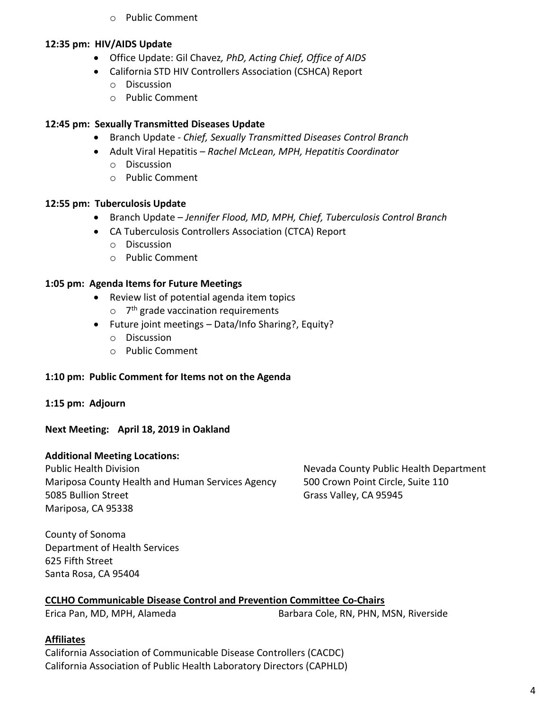o Public Comment

#### **12:35 pm: HIV/AIDS Update**

- Office Update: Gil Chavez*, PhD, Acting Chief, Office of AIDS*
- California STD HIV Controllers Association (CSHCA) Report
	- o Discussion
	- o Public Comment

# **12:45 pm: Sexually Transmitted Diseases Update**

- Branch Update *Chief, Sexually Transmitted Diseases Control Branch*
- Adult Viral Hepatitis *Rachel McLean, MPH, Hepatitis Coordinator*
	- o Discussion
	- o Public Comment

## **12:55 pm: Tuberculosis Update**

- Branch Update *Jennifer Flood, MD, MPH, Chief, Tuberculosis Control Branch*
- CA Tuberculosis Controllers Association (CTCA) Report
	- o Discussion
	- o Public Comment

## **1:05 pm: Agenda Items for Future Meetings**

- Review list of potential agenda item topics
	- o 7<sup>th</sup> grade vaccination requirements
- Future joint meetings Data/Info Sharing?, Equity?
	- o Discussion
	- o Public Comment

## **1:10 pm: Public Comment for Items not on the Agenda**

## **1:15 pm: Adjourn**

## **Next Meeting: April 18, 2019 in Oakland**

## **Additional Meeting Locations:**

Public Health Division Nevada County Public Health Department Mariposa County Health and Human Services Agency 500 Crown Point Circle, Suite 110 5085 Bullion Street Grass Valley, CA 95945 Mariposa, CA 95338

County of Sonoma Department of Health Services 625 Fifth Street Santa Rosa, CA 95404

## **CCLHO Communicable Disease Control and Prevention Committee Co-Chairs**

Erica Pan, MD, MPH, Alameda Barbara Cole, RN, PHN, MSN, Riverside

#### **Affiliates**

California Association of Communicable Disease Controllers (CACDC) California Association of Public Health Laboratory Directors (CAPHLD)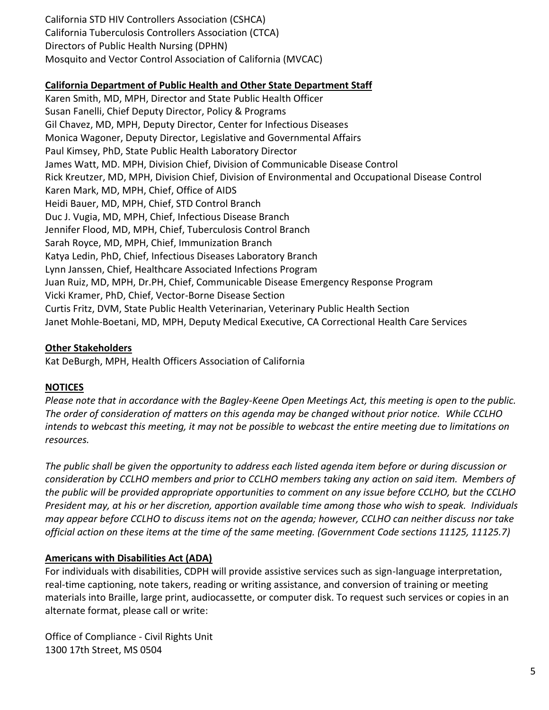California STD HIV Controllers Association (CSHCA) California Tuberculosis Controllers Association (CTCA) Directors of Public Health Nursing (DPHN) Mosquito and Vector Control Association of California (MVCAC)

## **California Department of Public Health and Other State Department Staff**

Karen Smith, MD, MPH, Director and State Public Health Officer Susan Fanelli, Chief Deputy Director, Policy & Programs Gil Chavez, MD, MPH, Deputy Director, Center for Infectious Diseases Monica Wagoner, Deputy Director, Legislative and Governmental Affairs Paul Kimsey, PhD, State Public Health Laboratory Director James Watt, MD. MPH, Division Chief, Division of Communicable Disease Control Rick Kreutzer, MD, MPH, Division Chief, Division of Environmental and Occupational Disease Control Karen Mark, MD, MPH, Chief, Office of AIDS Heidi Bauer, MD, MPH, Chief, STD Control Branch Duc J. Vugia, MD, MPH, Chief, Infectious Disease Branch Jennifer Flood, MD, MPH, Chief, Tuberculosis Control Branch Sarah Royce, MD, MPH, Chief, Immunization Branch Katya Ledin, PhD, Chief, Infectious Diseases Laboratory Branch Lynn Janssen, Chief, Healthcare Associated Infections Program Juan Ruiz, MD, MPH, Dr.PH, Chief, Communicable Disease Emergency Response Program Vicki Kramer, PhD, Chief, Vector-Borne Disease Section Curtis Fritz, DVM, State Public Health Veterinarian, Veterinary Public Health Section Janet Mohle-Boetani, MD, MPH, Deputy Medical Executive, CA Correctional Health Care Services

#### **Other Stakeholders**

Kat DeBurgh, MPH, Health Officers Association of California

## **NOTICES**

*Please note that in accordance with the Bagley-Keene Open Meetings Act, this meeting is open to the public. The order of consideration of matters on this agenda may be changed without prior notice. While CCLHO intends to webcast this meeting, it may not be possible to webcast the entire meeting due to limitations on resources.*

*The public shall be given the opportunity to address each listed agenda item before or during discussion or consideration by CCLHO members and prior to CCLHO members taking any action on said item. Members of the public will be provided appropriate opportunities to comment on any issue before CCLHO, but the CCLHO President may, at his or her discretion, apportion available time among those who wish to speak. Individuals may appear before CCLHO to discuss items not on the agenda; however, CCLHO can neither discuss nor take official action on these items at the time of the same meeting. (Government Code sections 11125, 11125.7)*

## **Americans with Disabilities Act (ADA)**

For individuals with disabilities, CDPH will provide assistive services such as sign-language interpretation, real-time captioning, note takers, reading or writing assistance, and conversion of training or meeting materials into Braille, large print, audiocassette, or computer disk. To request such services or copies in an alternate format, please call or write:

Office of Compliance - Civil Rights Unit 1300 17th Street, MS 0504